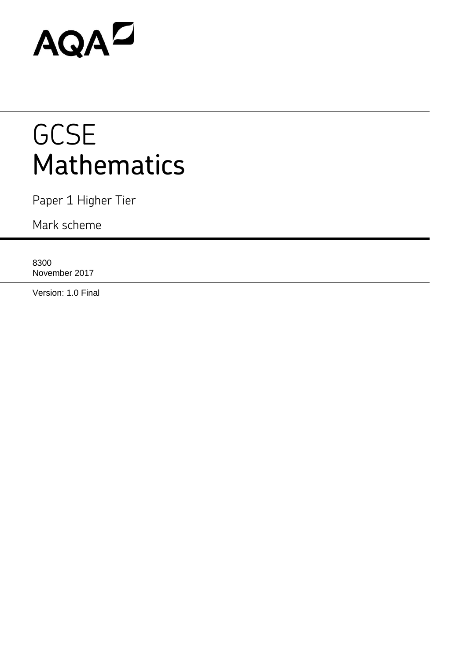# AQAD

# **GCSE** Mathematics

Paper 1 Higher Tier

Mark scheme

8300 November 2017

Version: 1.0 Final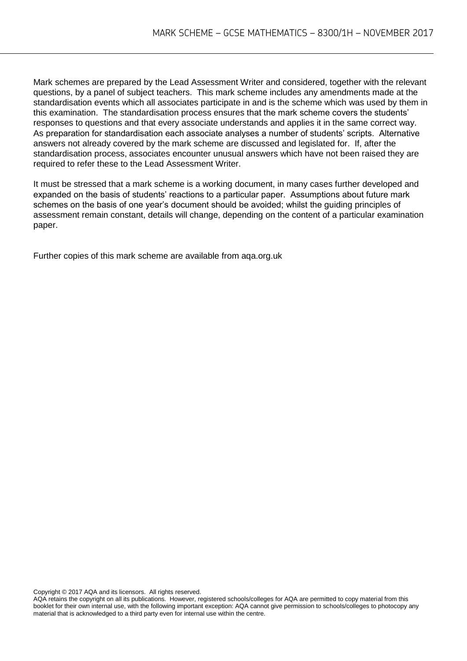Mark schemes are prepared by the Lead Assessment Writer and considered, together with the relevant questions, by a panel of subject teachers. This mark scheme includes any amendments made at the standardisation events which all associates participate in and is the scheme which was used by them in this examination. The standardisation process ensures that the mark scheme covers the students' responses to questions and that every associate understands and applies it in the same correct way. As preparation for standardisation each associate analyses a number of students' scripts. Alternative answers not already covered by the mark scheme are discussed and legislated for. If, after the standardisation process, associates encounter unusual answers which have not been raised they are required to refer these to the Lead Assessment Writer.

It must be stressed that a mark scheme is a working document, in many cases further developed and expanded on the basis of students' reactions to a particular paper. Assumptions about future mark schemes on the basis of one year's document should be avoided; whilst the guiding principles of assessment remain constant, details will change, depending on the content of a particular examination paper.

Further copies of this mark scheme are available from aqa.org.uk

Copyright © 2017 AQA and its licensors. All rights reserved.

AQA retains the copyright on all its publications. However, registered schools/colleges for AQA are permitted to copy material from this booklet for their own internal use, with the following important exception: AQA cannot give permission to schools/colleges to photocopy any material that is acknowledged to a third party even for internal use within the centre.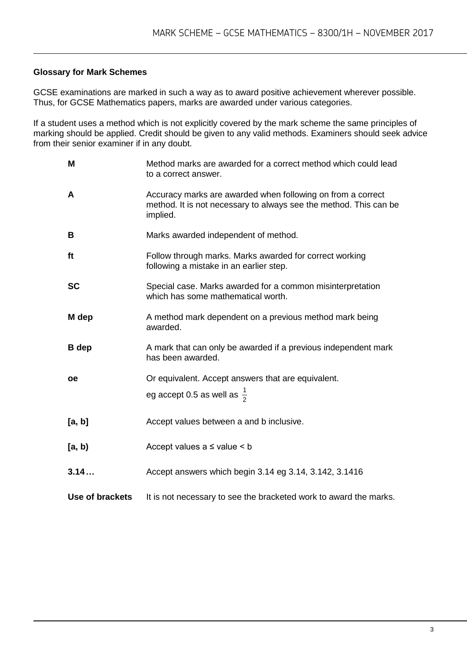## **Glossary for Mark Schemes**

GCSE examinations are marked in such a way as to award positive achievement wherever possible. Thus, for GCSE Mathematics papers, marks are awarded under various categories.

If a student uses a method which is not explicitly covered by the mark scheme the same principles of marking should be applied. Credit should be given to any valid methods. Examiners should seek advice from their senior examiner if in any doubt.

| M               | Method marks are awarded for a correct method which could lead<br>to a correct answer.                                                       |
|-----------------|----------------------------------------------------------------------------------------------------------------------------------------------|
| A               | Accuracy marks are awarded when following on from a correct<br>method. It is not necessary to always see the method. This can be<br>implied. |
| B               | Marks awarded independent of method.                                                                                                         |
| ft              | Follow through marks. Marks awarded for correct working<br>following a mistake in an earlier step.                                           |
| <b>SC</b>       | Special case. Marks awarded for a common misinterpretation<br>which has some mathematical worth.                                             |
| M dep           | A method mark dependent on a previous method mark being<br>awarded.                                                                          |
| <b>B</b> dep    | A mark that can only be awarded if a previous independent mark<br>has been awarded.                                                          |
| <b>oe</b>       | Or equivalent. Accept answers that are equivalent.                                                                                           |
|                 | eg accept 0.5 as well as $\frac{1}{2}$                                                                                                       |
| [a, b]          | Accept values between a and b inclusive.                                                                                                     |
| [a, b)          | Accept values $a \leq$ value $\leq b$                                                                                                        |
| 3.14            | Accept answers which begin 3.14 eg 3.14, 3.142, 3.1416                                                                                       |
| Use of brackets | It is not necessary to see the bracketed work to award the marks.                                                                            |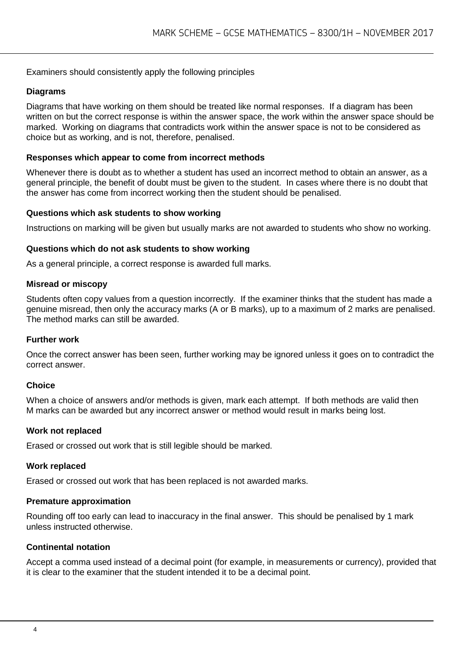### Examiners should consistently apply the following principles

#### **Diagrams**

Diagrams that have working on them should be treated like normal responses. If a diagram has been written on but the correct response is within the answer space, the work within the answer space should be marked. Working on diagrams that contradicts work within the answer space is not to be considered as choice but as working, and is not, therefore, penalised.

#### **Responses which appear to come from incorrect methods**

Whenever there is doubt as to whether a student has used an incorrect method to obtain an answer, as a general principle, the benefit of doubt must be given to the student. In cases where there is no doubt that the answer has come from incorrect working then the student should be penalised.

#### **Questions which ask students to show working**

Instructions on marking will be given but usually marks are not awarded to students who show no working.

#### **Questions which do not ask students to show working**

As a general principle, a correct response is awarded full marks.

#### **Misread or miscopy**

Students often copy values from a question incorrectly. If the examiner thinks that the student has made a genuine misread, then only the accuracy marks (A or B marks), up to a maximum of 2 marks are penalised. The method marks can still be awarded.

#### **Further work**

Once the correct answer has been seen, further working may be ignored unless it goes on to contradict the correct answer.

#### **Choice**

When a choice of answers and/or methods is given, mark each attempt. If both methods are valid then M marks can be awarded but any incorrect answer or method would result in marks being lost.

#### **Work not replaced**

Erased or crossed out work that is still legible should be marked.

#### **Work replaced**

Erased or crossed out work that has been replaced is not awarded marks.

#### **Premature approximation**

Rounding off too early can lead to inaccuracy in the final answer. This should be penalised by 1 mark unless instructed otherwise.

#### **Continental notation**

Accept a comma used instead of a decimal point (for example, in measurements or currency), provided that it is clear to the examiner that the student intended it to be a decimal point.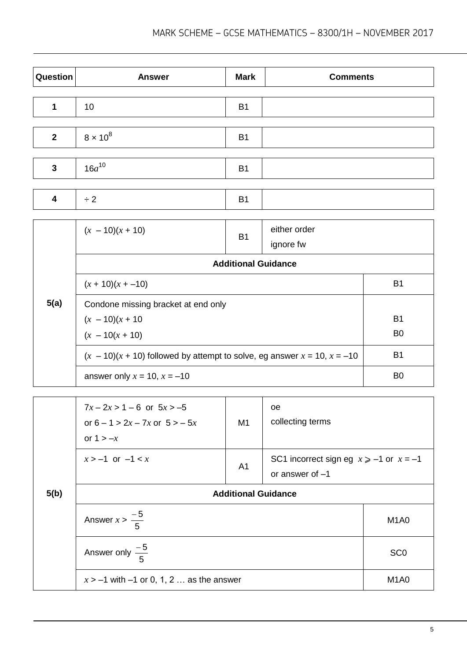| Question     | <b>Answer</b>   | <b>Mark</b> | <b>Comments</b> |
|--------------|-----------------|-------------|-----------------|
|              |                 |             |                 |
| 1            | 10              | <b>B1</b>   |                 |
|              |                 |             |                 |
| $\mathbf{2}$ | $8 \times 10^8$ | <b>B1</b>   |                 |
|              |                 |             |                 |
| $\mathbf{3}$ | $16a^{10}$      | <b>B1</b>   |                 |
|              |                 |             |                 |
| 4            | $\div 2$        | <b>B1</b>   |                 |

|      | $(x - 10)(x + 10)$                                                              | <b>B1</b>                  | either order<br>ignore fw |                |
|------|---------------------------------------------------------------------------------|----------------------------|---------------------------|----------------|
|      |                                                                                 | <b>Additional Guidance</b> |                           |                |
|      | $(x + 10)(x + -10)$                                                             | B <sub>1</sub>             |                           |                |
| 5(a) | Condone missing bracket at end only                                             |                            |                           |                |
|      | $(x - 10)(x + 10)$                                                              | <b>B1</b>                  |                           |                |
|      | $(x - 10(x + 10))$                                                              |                            |                           | B <sub>0</sub> |
|      | $(x - 10)(x + 10)$ followed by attempt to solve, eg answer $x = 10$ , $x = -10$ | B <sub>1</sub>             |                           |                |
|      | answer only $x = 10$ , $x = -10$                                                |                            |                           | B <sub>0</sub> |

|      | $7x - 2x > 1 - 6$ or $5x > -5$<br>or $6 - 1 > 2x - 7x$ or $5 > -5x$<br>or $1 > -x$ | M1             | <sub>oe</sub><br>collecting terms                                 |                               |
|------|------------------------------------------------------------------------------------|----------------|-------------------------------------------------------------------|-------------------------------|
|      | $x > -1$ or $-1 < x$                                                               | A <sub>1</sub> | SC1 incorrect sign eg $x \ge -1$ or $x = -1$<br>or answer of $-1$ |                               |
| 5(b) | <b>Additional Guidance</b>                                                         |                |                                                                   |                               |
|      | Answer $x > \frac{-5}{5}$                                                          |                |                                                                   | M <sub>1</sub> A <sub>0</sub> |
|      | Answer only $\frac{-5}{5}$                                                         |                |                                                                   | SC <sub>0</sub>               |
|      | $x > -1$ with $-1$ or 0, 1, 2  as the answer                                       |                |                                                                   | M <sub>1</sub> A <sub>0</sub> |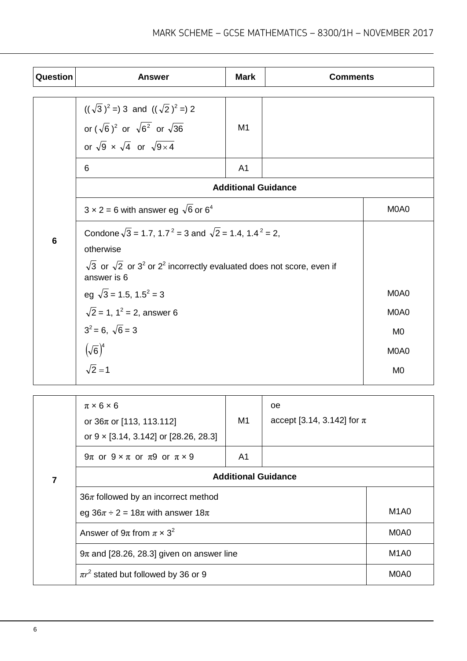| Question | <b>Answer</b>                                                                                           | <b>Mark</b>    | <b>Comments</b>            |                               |
|----------|---------------------------------------------------------------------------------------------------------|----------------|----------------------------|-------------------------------|
|          |                                                                                                         |                |                            |                               |
|          | $((\sqrt{3})^2 = 3$ and $((\sqrt{2})^2 = 2)$                                                            |                |                            |                               |
|          | or $(\sqrt{6})^2$ or $\sqrt{6^2}$ or $\sqrt{36}$                                                        | M1             |                            |                               |
|          | or $\sqrt{9} \times \sqrt{4}$ or $\sqrt{9 \times 4}$                                                    |                |                            |                               |
|          | 6                                                                                                       | A <sub>1</sub> |                            |                               |
|          |                                                                                                         |                | <b>Additional Guidance</b> |                               |
|          | $3 \times 2 = 6$ with answer eg $\sqrt{6}$ or 6 <sup>4</sup>                                            |                |                            | M <sub>0</sub> A <sub>0</sub> |
| 6        | Condone $\sqrt{3}$ = 1.7, 1.7 <sup>2</sup> = 3 and $\sqrt{2}$ = 1.4, 1.4 <sup>2</sup> = 2,              |                |                            |                               |
|          | otherwise                                                                                               |                |                            |                               |
|          | $\sqrt{3}$ or $\sqrt{2}$ or $3^2$ or $2^2$ incorrectly evaluated does not score, even if<br>answer is 6 |                |                            |                               |
|          | eg $\sqrt{3}$ = 1.5, 1.5 <sup>2</sup> = 3                                                               |                |                            | M0A0                          |
|          | $\sqrt{2}$ = 1, 1 <sup>2</sup> = 2, answer 6                                                            |                |                            | M0A0                          |
|          | $3^2 = 6$ , $\sqrt{6} = 3$                                                                              |                |                            | M <sub>0</sub>                |
|          | $(\sqrt{6})^4$                                                                                          |                |                            | M0A0                          |
|          | $\sqrt{2}=1$                                                                                            |                |                            | M <sub>0</sub>                |

|   | $\pi \times 6 \times 6$<br>or $36\pi$ or [113, 113.112]<br>or $9 \times [3.14, 3.142]$ or [28.26, 28.3] | M1 | <sub>oe</sub><br>accept [3.14, 3.142] for $\pi$ |                               |
|---|---------------------------------------------------------------------------------------------------------|----|-------------------------------------------------|-------------------------------|
|   | 9π or $9 \times \pi$ or $\pi$ 9 or $\pi \times 9$<br>A1                                                 |    |                                                 |                               |
| 7 | <b>Additional Guidance</b>                                                                              |    |                                                 |                               |
|   | $36\pi$ followed by an incorrect method<br>eg $36\pi \div 2 = 18\pi$ with answer $18\pi$                |    |                                                 | M <sub>1</sub> A <sub>0</sub> |
|   | Answer of $9\pi$ from $\pi \times 3^2$                                                                  |    |                                                 | M0A0                          |
|   | $9\pi$ and [28.26, 28.3] given on answer line                                                           |    |                                                 | M <sub>1</sub> A <sub>0</sub> |
|   | $\pi r^2$ stated but followed by 36 or 9                                                                |    |                                                 | M0A0                          |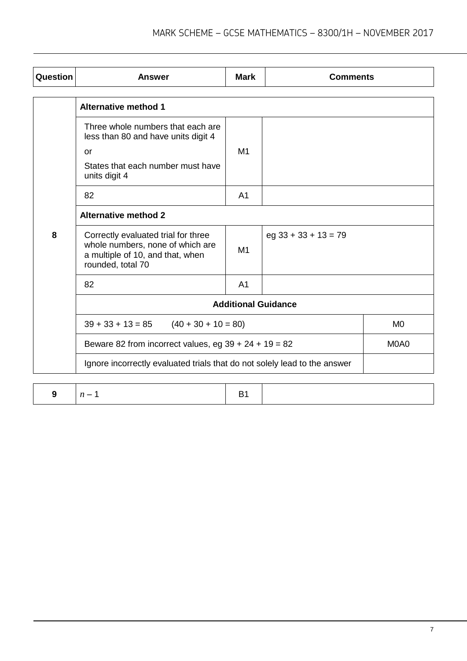| Question | <b>Answer</b>                                                                                                                               | <b>Mark</b>    | <b>Comments</b>        |                |
|----------|---------------------------------------------------------------------------------------------------------------------------------------------|----------------|------------------------|----------------|
|          | <b>Alternative method 1</b>                                                                                                                 |                |                        |                |
|          | Three whole numbers that each are<br>less than 80 and have units digit 4<br><b>or</b><br>States that each number must have<br>units digit 4 | M1             |                        |                |
|          | 82                                                                                                                                          | A <sub>1</sub> |                        |                |
|          | <b>Alternative method 2</b>                                                                                                                 |                |                        |                |
| 8        | Correctly evaluated trial for three<br>whole numbers, none of which are<br>a multiple of 10, and that, when<br>rounded, total 70            | M <sub>1</sub> | $eg$ 33 + 33 + 13 = 79 |                |
|          | 82                                                                                                                                          | A <sub>1</sub> |                        |                |
|          | <b>Additional Guidance</b>                                                                                                                  |                |                        |                |
|          | $39 + 33 + 13 = 85$ $(40 + 30 + 10 = 80)$                                                                                                   |                |                        | M <sub>0</sub> |
|          | Beware 82 from incorrect values, eg $39 + 24 + 19 = 82$                                                                                     |                |                        | M0A0           |
|          | Ignore incorrectly evaluated trials that do not solely lead to the answer                                                                   |                |                        |                |

|  | $n =$<br>. |  |  |
|--|------------|--|--|
|--|------------|--|--|

 $\mathbf{I}$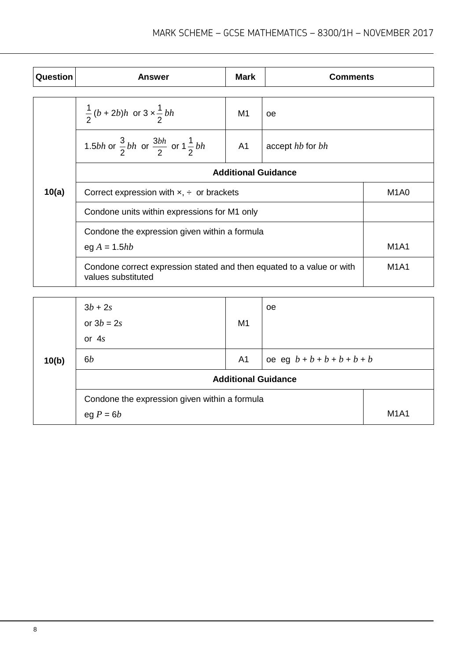| Question | <b>Answer</b>                                                                               | Mark           | <b>Comments</b>  |                               |
|----------|---------------------------------------------------------------------------------------------|----------------|------------------|-------------------------------|
|          |                                                                                             |                |                  |                               |
|          | $\frac{1}{2} (b + 2b)h$ or $3 \times \frac{1}{2} bh$                                        | M1             | oe               |                               |
|          | 1.5 <i>bh</i> or $\frac{3}{2}bh$ or $\frac{3bh}{2}$ or $1\frac{1}{2}bh$                     | A <sub>1</sub> | accept hb for bh |                               |
|          | <b>Additional Guidance</b>                                                                  |                |                  |                               |
| 10(a)    | Correct expression with $x$ , $\div$ or brackets                                            |                |                  | M <sub>1</sub> A <sub>0</sub> |
|          | Condone units within expressions for M1 only                                                |                |                  |                               |
|          | Condone the expression given within a formula                                               |                |                  |                               |
|          | eg $A = 1.5hb$                                                                              | <b>M1A1</b>    |                  |                               |
|          | Condone correct expression stated and then equated to a value or with<br>values substituted |                |                  | <b>M1A1</b>                   |
|          |                                                                                             |                |                  |                               |

|       | $3b + 2s$<br>or $3b = 2s$<br>or $4s$          | M <sub>1</sub>             | <sub>oe</sub>                 |             |
|-------|-----------------------------------------------|----------------------------|-------------------------------|-------------|
| 10(b) | 6b                                            | A <sub>1</sub>             | oe eg $b + b + b + b + b + b$ |             |
|       |                                               | <b>Additional Guidance</b> |                               |             |
|       | Condone the expression given within a formula |                            |                               |             |
|       | eg $P = 6b$                                   |                            |                               | <b>M1A1</b> |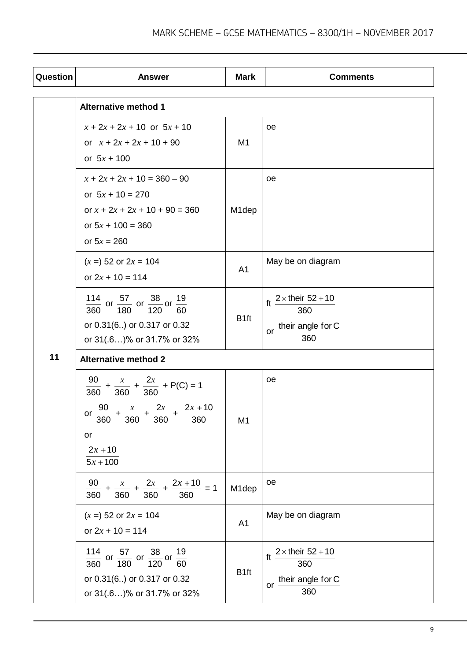| Question | <b>Answer</b>                                                                                                                                                             | <b>Mark</b>        | <b>Comments</b>                                                             |  |  |
|----------|---------------------------------------------------------------------------------------------------------------------------------------------------------------------------|--------------------|-----------------------------------------------------------------------------|--|--|
|          | <b>Alternative method 1</b>                                                                                                                                               |                    |                                                                             |  |  |
|          | $x + 2x + 2x + 10$ or $5x + 10$<br>or $x + 2x + 2x + 10 + 90$<br>or $5x + 100$                                                                                            | M <sub>1</sub>     | оe                                                                          |  |  |
|          | $x + 2x + 2x + 10 = 360 - 90$<br>or $5x + 10 = 270$<br>or $x + 2x + 2x + 10 + 90 = 360$<br>or $5x + 100 = 360$<br>or $5x = 260$                                           | M <sub>1</sub> dep | оe                                                                          |  |  |
|          | $(x = 52 \text{ or } 2x = 104$<br>or $2x + 10 = 114$                                                                                                                      | A <sub>1</sub>     | May be on diagram                                                           |  |  |
|          | $\frac{114}{360}$ or $\frac{57}{180}$ or $\frac{38}{120}$ or $\frac{1}{6}$<br>19<br>60<br>or 0.31(6) or 0.317 or 0.32<br>or 31(.6)% or 31.7% or 32%                       | B <sub>1ft</sub>   | $2 \times$ their 52 + 10<br>ft<br>360<br>their angle for C<br>$or -$<br>360 |  |  |
| 11       | <b>Alternative method 2</b>                                                                                                                                               |                    |                                                                             |  |  |
|          | $\frac{90}{360} + \frac{x}{360} + \frac{2x}{360} + P(C) = 1$<br>or $\frac{90}{360} + \frac{x}{360} + \frac{2x}{360} + \frac{2x+10}{360}$<br>or<br>$2x + 10$<br>$5x + 100$ | M <sub>1</sub>     | oe                                                                          |  |  |
|          | $+\frac{2x+10}{2}$ = 1<br>90<br>$+\frac{2x}{x}$<br>360<br>360<br>360<br>360                                                                                               | M1dep              | oe                                                                          |  |  |
|          | $(x = 52 \text{ or } 2x = 104$<br>or $2x + 10 = 114$                                                                                                                      | A <sub>1</sub>     | May be on diagram                                                           |  |  |
|          | $\frac{114}{360}$ or $\frac{57}{180}$ or $\frac{38}{120}$ or $\frac{19}{60}$<br>or 0.31(6) or 0.317 or 0.32<br>or 31(.6)% or 31.7% or 32%                                 | B <sub>1ft</sub>   | $2 \times$ their 52 + 10<br>ft<br>360<br>their angle for C<br>$or -$<br>360 |  |  |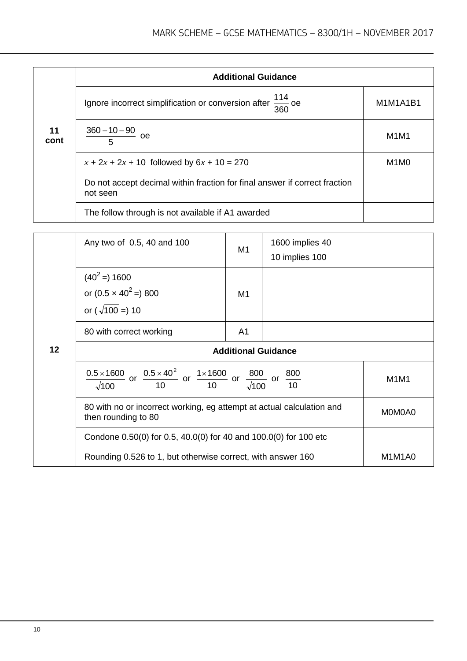|            | <b>Additional Guidance</b>                                                             |                               |  |  |  |
|------------|----------------------------------------------------------------------------------------|-------------------------------|--|--|--|
|            | Ignore incorrect simplification or conversion after $\frac{114}{360}$ oe               | M1M1A1B1                      |  |  |  |
| 11<br>cont | $\frac{360-10-90}{2}$<br>oe<br>5                                                       | M1M1                          |  |  |  |
|            | $x + 2x + 2x + 10$ followed by $6x + 10 = 270$                                         | M <sub>1</sub> M <sub>0</sub> |  |  |  |
|            | Do not accept decimal within fraction for final answer if correct fraction<br>not seen |                               |  |  |  |
|            | The follow through is not available if A1 awarded                                      |                               |  |  |  |

|    | Any two of 0.5, 40 and 100                                                                                                                         | M1             | 1600 implies 40<br>10 implies 100 |        |
|----|----------------------------------------------------------------------------------------------------------------------------------------------------|----------------|-----------------------------------|--------|
|    | $(40^2)$ = 1600<br>or $(0.5 \times 40^2)$ 800<br>or $(\sqrt{100}) = 10$                                                                            | M <sub>1</sub> |                                   |        |
|    | 80 with correct working                                                                                                                            | A <sub>1</sub> |                                   |        |
| 12 | <b>Additional Guidance</b>                                                                                                                         |                |                                   |        |
|    | $\frac{0.5 \times 1600}{\sqrt{100}}$ or $\frac{0.5 \times 40^2}{10}$ or $\frac{1 \times 1600}{10}$ or $\frac{800}{\sqrt{100}}$ or $\frac{800}{10}$ |                |                                   | M1M1   |
|    | 80 with no or incorrect working, eg attempt at actual calculation and<br>then rounding to 80                                                       |                |                                   | M0M0A0 |
|    | Condone 0.50(0) for 0.5, 40.0(0) for 40 and 100.0(0) for 100 etc                                                                                   |                |                                   |        |
|    | Rounding 0.526 to 1, but otherwise correct, with answer 160                                                                                        |                |                                   | M1M1A0 |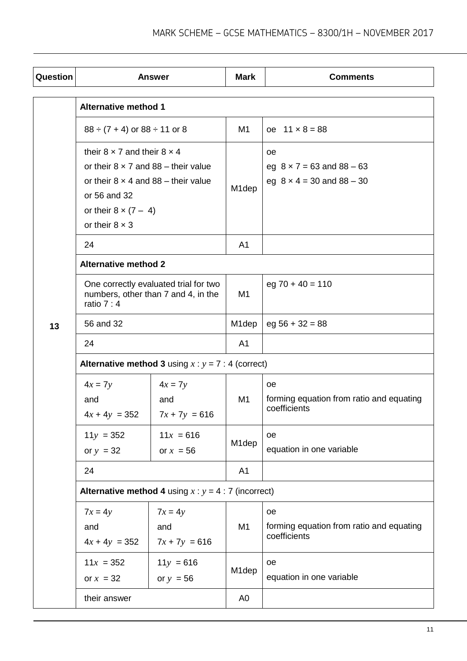| Question |                                                                                                                                                                                          | <b>Answer</b>                                                                | <b>Mark</b>        | <b>Comments</b>                                                                |
|----------|------------------------------------------------------------------------------------------------------------------------------------------------------------------------------------------|------------------------------------------------------------------------------|--------------------|--------------------------------------------------------------------------------|
|          | <b>Alternative method 1</b>                                                                                                                                                              |                                                                              |                    |                                                                                |
|          | $88 \div (7 + 4)$ or $88 \div 11$ or 8                                                                                                                                                   |                                                                              | M1                 | $oe$ 11 $\times$ 8 = 88                                                        |
|          | their $8 \times 7$ and their $8 \times 4$<br>or their $8 \times 7$ and $88$ – their value<br>or their $8 \times 4$ and $88 -$ their value<br>or 56 and 32<br>or their $8 \times (7 - 4)$ |                                                                              | M <sub>1</sub> dep | oe<br>eg $8 \times 7 = 63$ and $88 - 63$<br>eg $8 \times 4 = 30$ and $88 - 30$ |
|          | or their $8 \times 3$                                                                                                                                                                    |                                                                              |                    |                                                                                |
|          | 24                                                                                                                                                                                       |                                                                              | A <sub>1</sub>     |                                                                                |
|          | <b>Alternative method 2</b>                                                                                                                                                              |                                                                              |                    |                                                                                |
|          | ratio $7:4$                                                                                                                                                                              | One correctly evaluated trial for two<br>numbers, other than 7 and 4, in the | M1                 | $eg 70 + 40 = 110$                                                             |
| 13       | 56 and 32                                                                                                                                                                                |                                                                              | M <sub>1</sub> dep | $eg 56 + 32 = 88$                                                              |
|          | 24                                                                                                                                                                                       |                                                                              | A <sub>1</sub>     |                                                                                |
|          |                                                                                                                                                                                          | <b>Alternative method 3</b> using $x : y = 7 : 4$ (correct)                  |                    |                                                                                |
|          | $4x = 7y$<br>and<br>$4x + 4y = 352$                                                                                                                                                      | $4x = 7y$<br>and<br>$7x + 7y = 616$                                          | M1                 | oe<br>forming equation from ratio and equating<br>coefficients                 |
|          | $11y = 352$<br>or $y = 32$                                                                                                                                                               | $11x = 616$<br>or $x = 56$                                                   | M <sub>1</sub> dep | oe<br>equation in one variable                                                 |
|          | 24                                                                                                                                                                                       |                                                                              | A1                 |                                                                                |
|          |                                                                                                                                                                                          | <b>Alternative method 4</b> using $x : y = 4 : 7$ (incorrect)                |                    |                                                                                |
|          | $7x = 4y$<br>and<br>$4x + 4y = 352$                                                                                                                                                      | $7x = 4y$<br>and<br>$7x + 7y = 616$                                          | M <sub>1</sub>     | oe<br>forming equation from ratio and equating<br>coefficients                 |
|          | $11x = 352$<br>or $x = 32$                                                                                                                                                               | $11y = 616$<br>or $y = 56$                                                   | M <sub>1</sub> dep | oe<br>equation in one variable                                                 |
|          | their answer                                                                                                                                                                             |                                                                              | A <sub>0</sub>     |                                                                                |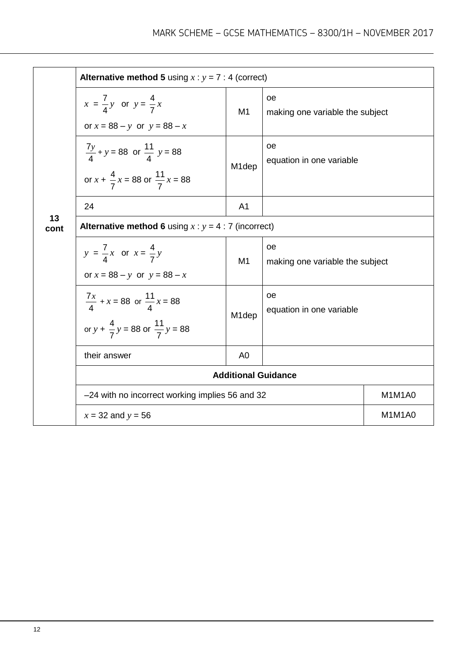|            | <b>Alternative method 5</b> using $x : y = 7 : 4$ (correct)                                            |                    |                                              |        |  |
|------------|--------------------------------------------------------------------------------------------------------|--------------------|----------------------------------------------|--------|--|
|            | $x = \frac{7}{4}y$ or $y = \frac{4}{7}x$<br>or $x = 88 - y$ or $y = 88 - x$                            | M1                 | oe<br>making one variable the subject        |        |  |
|            | $\frac{7y}{4} + y = 88$ or $\frac{11}{4}$ y = 88<br>or $x + \frac{4}{7}x = 88$ or $\frac{11}{7}x = 88$ | M <sub>1</sub> dep | oe<br>equation in one variable               |        |  |
|            | 24                                                                                                     | A <sub>1</sub>     |                                              |        |  |
| 13<br>cont | <b>Alternative method 6</b> using $x : y = 4 : 7$ (incorrect)                                          |                    |                                              |        |  |
|            | $y = \frac{7}{4}x$ or $x = \frac{4}{7}y$<br>or $x = 88 - y$ or $y = 88 - x$                            | M1                 | <b>oe</b><br>making one variable the subject |        |  |
|            | $\frac{7x}{4}$ + x = 88 or $\frac{11}{4}$ x = 88<br>or $y + \frac{4}{7}y = 88$ or $\frac{11}{7}y = 88$ | M <sub>1</sub> dep | <b>oe</b><br>equation in one variable        |        |  |
|            | their answer                                                                                           | A <sub>0</sub>     |                                              |        |  |
|            | <b>Additional Guidance</b>                                                                             |                    |                                              |        |  |
|            | -24 with no incorrect working implies 56 and 32                                                        |                    |                                              | M1M1A0 |  |
|            | $x = 32$ and $y = 56$                                                                                  |                    |                                              | M1M1A0 |  |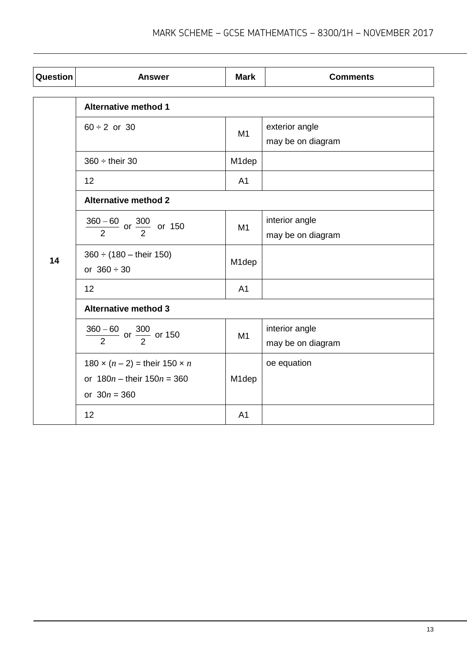| Question | <b>Answer</b>                                            | <b>Mark</b>        | <b>Comments</b>                     |  |  |
|----------|----------------------------------------------------------|--------------------|-------------------------------------|--|--|
|          | <b>Alternative method 1</b>                              |                    |                                     |  |  |
|          | $60 \div 2$ or 30                                        | M <sub>1</sub>     | exterior angle<br>may be on diagram |  |  |
|          | $360 \div$ their 30                                      | M <sub>1</sub> dep |                                     |  |  |
|          | 12                                                       | A <sub>1</sub>     |                                     |  |  |
| 14       | <b>Alternative method 2</b>                              |                    |                                     |  |  |
|          | $\frac{360-60}{2}$ or $\frac{300}{2}$ or 150             | M1                 | interior angle<br>may be on diagram |  |  |
|          | $360 \div (180 - \text{their } 150)$<br>or $360 \div 30$ | M <sub>1</sub> dep |                                     |  |  |
|          | 12                                                       | A <sub>1</sub>     |                                     |  |  |
|          | <b>Alternative method 3</b>                              |                    |                                     |  |  |
|          | $\frac{360-60}{2}$ or $\frac{300}{2}$ or 150             | M1                 | interior angle<br>may be on diagram |  |  |
|          | 180 $\times$ $(n - 2) =$ their 150 $\times n$            |                    | oe equation                         |  |  |
|          | or $180n -$ their $150n = 360$<br>or $30n = 360$         | M1dep              |                                     |  |  |
|          | 12                                                       | A <sub>1</sub>     |                                     |  |  |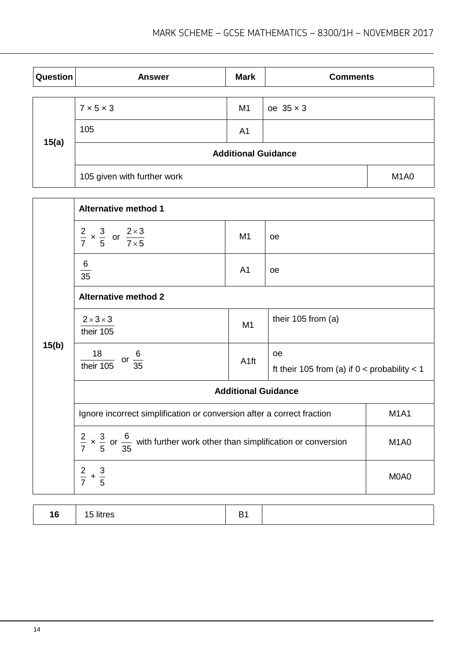| Question | <b>Answer</b>               | <b>Mark</b>    | <b>Comments</b>  |                               |
|----------|-----------------------------|----------------|------------------|-------------------------------|
|          | $7 \times 5 \times 3$       | M <sub>1</sub> | oe $35 \times 3$ |                               |
| 15(a)    | 105                         | A <sub>1</sub> |                  |                               |
|          | <b>Additional Guidance</b>  |                |                  |                               |
|          | 105 given with further work |                |                  | M <sub>1</sub> A <sub>0</sub> |

|       | <b>Alternative method 1</b>                                                                                  |                  |                                                        |                               |  |
|-------|--------------------------------------------------------------------------------------------------------------|------------------|--------------------------------------------------------|-------------------------------|--|
|       | $\frac{2}{7} \times \frac{3}{5}$ or $\frac{2 \times 3}{7 \times 5}$                                          | M <sub>1</sub>   | <b>oe</b>                                              |                               |  |
|       | $\frac{6}{35}$                                                                                               | A <sub>1</sub>   | oe                                                     |                               |  |
|       | <b>Alternative method 2</b>                                                                                  |                  |                                                        |                               |  |
|       | $2 \times 3 \times 3$<br>their 105                                                                           | M <sub>1</sub>   | their 105 from (a)                                     |                               |  |
| 15(b) | $\frac{18}{\text{their }105} \text{ or } \frac{6}{35}$                                                       | A <sub>1ft</sub> | oe<br>ft their 105 from (a) if $0 <$ probability $< 1$ |                               |  |
|       | <b>Additional Guidance</b>                                                                                   |                  |                                                        |                               |  |
|       | Ignore incorrect simplification or conversion after a correct fraction                                       |                  |                                                        | <b>M1A1</b>                   |  |
|       | $\frac{2}{7} \times \frac{3}{5}$ or $\frac{6}{35}$ with further work other than simplification or conversion |                  |                                                        | M <sub>1</sub> A <sub>0</sub> |  |
|       | $rac{2}{7} + \frac{3}{5}$                                                                                    |                  |                                                        | M0A0                          |  |
|       |                                                                                                              |                  |                                                        |                               |  |

| ט ו<br>$ -$ |  |
|-------------|--|
|-------------|--|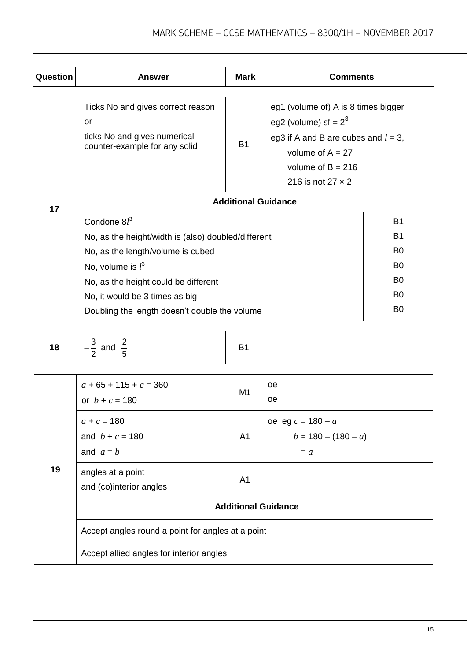| Question | <b>Answer</b>                                                                                            | <b>Mark</b> | <b>Comments</b>                                                                                                                                       |                |
|----------|----------------------------------------------------------------------------------------------------------|-------------|-------------------------------------------------------------------------------------------------------------------------------------------------------|----------------|
|          | Ticks No and gives correct reason<br>or<br>ticks No and gives numerical<br>counter-example for any solid | <b>B1</b>   | eg1 (volume of) A is 8 times bigger<br>eg2 (volume) sf = $2^3$<br>eg3 if A and B are cubes and $l = 3$ ,<br>volume of $A = 27$<br>volume of $B = 216$ |                |
|          |                                                                                                          |             | 216 is not 27 $\times$ 2                                                                                                                              |                |
| 17       | <b>Additional Guidance</b>                                                                               |             |                                                                                                                                                       |                |
|          | Condone $8l^3$                                                                                           |             |                                                                                                                                                       | <b>B1</b>      |
|          | No, as the height/width is (also) doubled/different                                                      |             |                                                                                                                                                       | B <sub>1</sub> |
|          | No, as the length/volume is cubed                                                                        |             |                                                                                                                                                       | B <sub>0</sub> |
|          | No, volume is $l^3$                                                                                      |             |                                                                                                                                                       | B <sub>0</sub> |
|          | No, as the height could be different                                                                     |             |                                                                                                                                                       | B <sub>0</sub> |
|          | No, it would be 3 times as big                                                                           |             |                                                                                                                                                       | B <sub>0</sub> |
|          | Doubling the length doesn't double the volume                                                            |             |                                                                                                                                                       | B <sub>0</sub> |

| <u>_</u><br>10<br>$\sim$ $\sim$ $\sim$<br>$- -$<br>ιο.<br>$\overline{\phantom{a}}$<br>anu | -<br>- |  |
|-------------------------------------------------------------------------------------------|--------|--|
|-------------------------------------------------------------------------------------------|--------|--|

| 19 | $a + 65 + 115 + c = 360$<br>or $b + c = 180$      | M <sub>1</sub> | oe<br>oe                                              |  |
|----|---------------------------------------------------|----------------|-------------------------------------------------------|--|
|    | $a + c = 180$<br>and $b + c = 180$<br>and $a = b$ | A1             | oe eg $c = 180 - a$<br>$b = 180 - (180 - a)$<br>$= a$ |  |
|    | angles at a point<br>and (co)interior angles      | A1             |                                                       |  |
|    | <b>Additional Guidance</b>                        |                |                                                       |  |
|    | Accept angles round a point for angles at a point |                |                                                       |  |
|    | Accept allied angles for interior angles          |                |                                                       |  |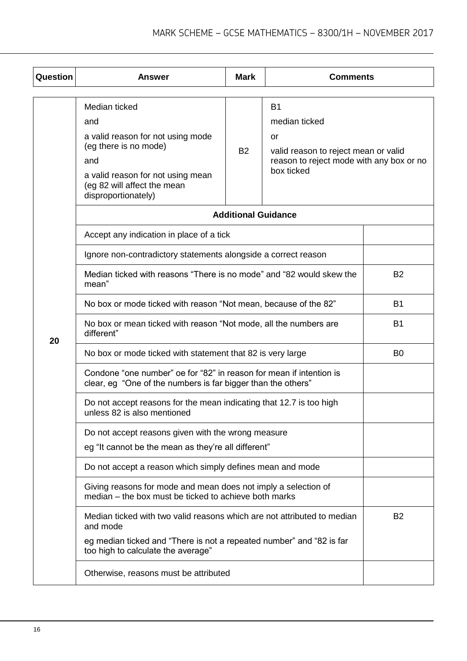| Question | <b>Answer</b>                                                                                                                                                                        | <b>Mark</b>                | <b>Comments</b>                                                                                                                    |           |
|----------|--------------------------------------------------------------------------------------------------------------------------------------------------------------------------------------|----------------------------|------------------------------------------------------------------------------------------------------------------------------------|-----------|
|          |                                                                                                                                                                                      |                            |                                                                                                                                    |           |
|          | Median ticked<br>and<br>a valid reason for not using mode<br>(eg there is no mode)<br>and<br>a valid reason for not using mean<br>(eg 82 will affect the mean<br>disproportionately) | <b>B2</b>                  | <b>B1</b><br>median ticked<br>or<br>valid reason to reject mean or valid<br>reason to reject mode with any box or no<br>box ticked |           |
|          |                                                                                                                                                                                      | <b>Additional Guidance</b> |                                                                                                                                    |           |
|          | Accept any indication in place of a tick                                                                                                                                             |                            |                                                                                                                                    |           |
|          | Ignore non-contradictory statements alongside a correct reason                                                                                                                       |                            |                                                                                                                                    |           |
|          | Median ticked with reasons "There is no mode" and "82 would skew the<br>mean"                                                                                                        | <b>B2</b>                  |                                                                                                                                    |           |
|          | No box or mode ticked with reason "Not mean, because of the 82"                                                                                                                      |                            |                                                                                                                                    | <b>B1</b> |
| 20       | No box or mean ticked with reason "Not mode, all the numbers are<br>different"                                                                                                       | <b>B1</b>                  |                                                                                                                                    |           |
|          | No box or mode ticked with statement that 82 is very large                                                                                                                           | B <sub>0</sub>             |                                                                                                                                    |           |
|          | Condone "one number" oe for "82" in reason for mean if intention is<br>clear, eg "One of the numbers is far bigger than the others"                                                  |                            |                                                                                                                                    |           |
|          | Do not accept reasons for the mean indicating that 12.7 is too high<br>unless 82 is also mentioned                                                                                   |                            |                                                                                                                                    |           |
|          | Do not accept reasons given with the wrong measure                                                                                                                                   |                            |                                                                                                                                    |           |
|          | eg "It cannot be the mean as they're all different"                                                                                                                                  |                            |                                                                                                                                    |           |
|          | Do not accept a reason which simply defines mean and mode                                                                                                                            |                            |                                                                                                                                    |           |
|          | Giving reasons for mode and mean does not imply a selection of<br>median – the box must be ticked to achieve both marks                                                              |                            |                                                                                                                                    |           |
|          | Median ticked with two valid reasons which are not attributed to median<br>and mode                                                                                                  |                            |                                                                                                                                    | <b>B2</b> |
|          | eg median ticked and "There is not a repeated number" and "82 is far<br>too high to calculate the average"                                                                           |                            |                                                                                                                                    |           |
|          | Otherwise, reasons must be attributed                                                                                                                                                |                            |                                                                                                                                    |           |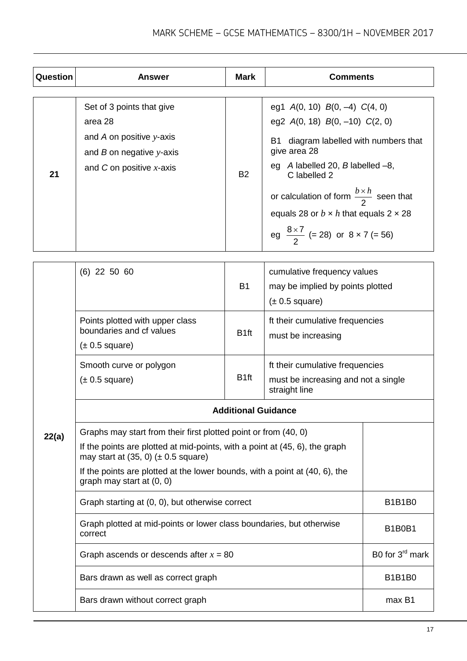| Question | <b>Answer</b>                                                                                                                    | <b>Mark</b> | <b>Comments</b>                                                                                                                                                                                                                                                                                                                                                               |
|----------|----------------------------------------------------------------------------------------------------------------------------------|-------------|-------------------------------------------------------------------------------------------------------------------------------------------------------------------------------------------------------------------------------------------------------------------------------------------------------------------------------------------------------------------------------|
| 21       | Set of 3 points that give<br>area 28<br>and A on positive $y$ -axis<br>and $B$ on negative y-axis<br>and C on positive $x$ -axis | <b>B2</b>   | eg1 $A(0, 10)$ $B(0, -4)$ $C(4, 0)$<br>eg2 $A(0, 18)$ $B(0, -10)$ $C(2, 0)$<br>diagram labelled with numbers that<br>В1<br>give area 28<br>eg $A$ labelled 20, $B$ labelled $-8$ ,<br>C labelled 2<br>or calculation of form $\frac{b \times h}{2}$ seen that<br>equals 28 or $b \times h$ that equals 2 $\times$ 28<br>eg $\frac{8\times7}{2}$ (= 28) or $8 \times 7$ (= 56) |

| 22(a) | $(6)$ 22 50 60                                                                                                                                                                                                                                                                                           | cumulative frequency values<br><b>B1</b><br>may be implied by points plotted<br>$(\pm 0.5 \text{ square})$ |                                                                                         |                             |
|-------|----------------------------------------------------------------------------------------------------------------------------------------------------------------------------------------------------------------------------------------------------------------------------------------------------------|------------------------------------------------------------------------------------------------------------|-----------------------------------------------------------------------------------------|-----------------------------|
|       | Points plotted with upper class<br>boundaries and cf values<br>$(\pm 0.5 \text{ square})$                                                                                                                                                                                                                | B <sub>1ft</sub>                                                                                           | ft their cumulative frequencies<br>must be increasing                                   |                             |
|       | Smooth curve or polygon<br>$(\pm 0.5 \text{ square})$                                                                                                                                                                                                                                                    | B <sub>1ft</sub>                                                                                           | ft their cumulative frequencies<br>must be increasing and not a single<br>straight line |                             |
|       | <b>Additional Guidance</b>                                                                                                                                                                                                                                                                               |                                                                                                            |                                                                                         |                             |
|       | Graphs may start from their first plotted point or from (40, 0)<br>If the points are plotted at mid-points, with a point at (45, 6), the graph<br>may start at $(35, 0)$ ( $\pm$ 0.5 square)<br>If the points are plotted at the lower bounds, with a point at (40, 6), the<br>graph may start at (0, 0) |                                                                                                            |                                                                                         |                             |
|       | Graph starting at (0, 0), but otherwise correct                                                                                                                                                                                                                                                          |                                                                                                            |                                                                                         | <b>B1B1B0</b>               |
|       | Graph plotted at mid-points or lower class boundaries, but otherwise<br>correct                                                                                                                                                                                                                          |                                                                                                            |                                                                                         | <b>B1B0B1</b>               |
|       | Graph ascends or descends after $x = 80$                                                                                                                                                                                                                                                                 |                                                                                                            |                                                                                         | B0 for 3 <sup>rd</sup> mark |
|       | Bars drawn as well as correct graph                                                                                                                                                                                                                                                                      |                                                                                                            |                                                                                         | <b>B1B1B0</b>               |
|       | Bars drawn without correct graph                                                                                                                                                                                                                                                                         |                                                                                                            |                                                                                         | max B1                      |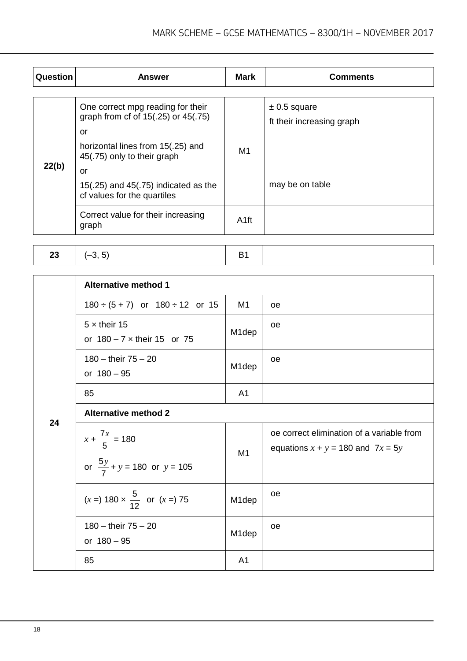| Question | <b>Answer</b>                                                                   | <b>Mark</b>    | <b>Comments</b>                               |
|----------|---------------------------------------------------------------------------------|----------------|-----------------------------------------------|
|          |                                                                                 |                |                                               |
| 22(b)    | One correct mpg reading for their<br>graph from cf of 15(.25) or 45(.75)<br>or  |                | $\pm$ 0.5 square<br>ft their increasing graph |
|          | horizontal lines from 15(.25) and<br>45(.75) only to their graph                | M <sub>1</sub> |                                               |
|          | or<br>15 $(.25)$ and 45 $(.75)$ indicated as the<br>cf values for the quartiles |                | may be on table                               |
|          | Correct value for their increasing<br>graph                                     | A1ft           |                                               |

| 23 | $\left  \right $ $\left( -3, 5 \right)$ |  |  |
|----|-----------------------------------------|--|--|
|----|-----------------------------------------|--|--|

|    | <b>Alternative method 1</b>                                          |                    |                                                                                    |
|----|----------------------------------------------------------------------|--------------------|------------------------------------------------------------------------------------|
|    | $180 \div (5 + 7)$ or $180 \div 12$ or 15                            | M1                 | oe                                                                                 |
|    | $5 \times$ their 15<br>or $180 - 7 \times$ their 15 or 75            | M1dep              | oe                                                                                 |
|    | 180 - their $75 - 20$<br>or $180 - 95$                               | M <sub>1</sub> dep | oe                                                                                 |
|    | 85                                                                   | A <sub>1</sub>     |                                                                                    |
| 24 | <b>Alternative method 2</b>                                          |                    |                                                                                    |
|    | $x + \frac{7x}{5} = 180$<br>or $\frac{5y}{7} + y = 180$ or $y = 105$ | M1                 | oe correct elimination of a variable from<br>equations $x + y = 180$ and $7x = 5y$ |
|    | $(x =) 180 \times \frac{5}{12}$ or $(x =) 75$                        | M <sub>1</sub> dep | oe                                                                                 |
|    | $180 -$ their $75 - 20$<br>or $180 - 95$                             | M <sub>1</sub> dep | oe                                                                                 |
|    | 85                                                                   | A <sub>1</sub>     |                                                                                    |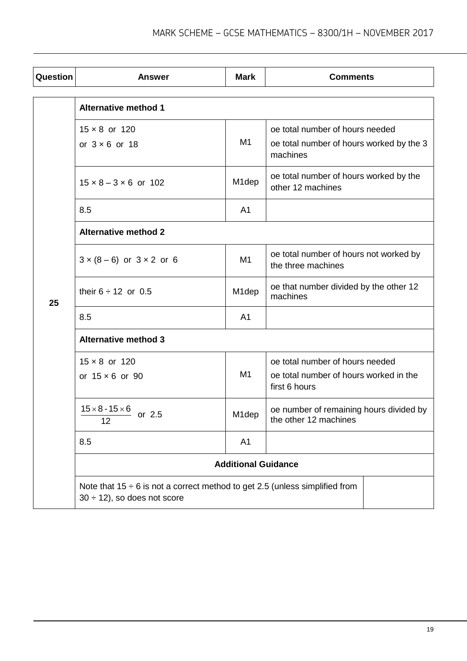| Question | <b>Answer</b>                                                                                                        | <b>Mark</b>        | <b>Comments</b>                                                                            |  |
|----------|----------------------------------------------------------------------------------------------------------------------|--------------------|--------------------------------------------------------------------------------------------|--|
|          | <b>Alternative method 1</b>                                                                                          |                    |                                                                                            |  |
|          | $15 \times 8$ or 120<br>or $3 \times 6$ or 18                                                                        | M1                 | oe total number of hours needed<br>oe total number of hours worked by the 3<br>machines    |  |
|          | $15 \times 8 - 3 \times 6$ or 102                                                                                    | M <sub>1</sub> dep | oe total number of hours worked by the<br>other 12 machines                                |  |
|          | 8.5                                                                                                                  | A <sub>1</sub>     |                                                                                            |  |
| 25       | <b>Alternative method 2</b>                                                                                          |                    |                                                                                            |  |
|          | $3 \times (8 - 6)$ or $3 \times 2$ or 6                                                                              | M1                 | oe total number of hours not worked by<br>the three machines                               |  |
|          | their $6 \div 12$ or 0.5                                                                                             | M <sub>1</sub> dep | oe that number divided by the other 12<br>machines                                         |  |
|          | 8.5                                                                                                                  | A <sub>1</sub>     |                                                                                            |  |
|          | <b>Alternative method 3</b>                                                                                          |                    |                                                                                            |  |
|          | $15 \times 8$ or 120<br>or $15 \times 6$ or 90                                                                       | M <sub>1</sub>     | oe total number of hours needed<br>oe total number of hours worked in the<br>first 6 hours |  |
|          | $15 \times 8 - 15 \times 6$<br>or 2.5<br>12                                                                          | M <sub>1</sub> dep | oe number of remaining hours divided by<br>the other 12 machines                           |  |
|          | 8.5                                                                                                                  | A <sub>1</sub>     |                                                                                            |  |
|          | <b>Additional Guidance</b>                                                                                           |                    |                                                                                            |  |
|          | Note that $15 \div 6$ is not a correct method to get 2.5 (unless simplified from<br>$30 \div 12$ , so does not score |                    |                                                                                            |  |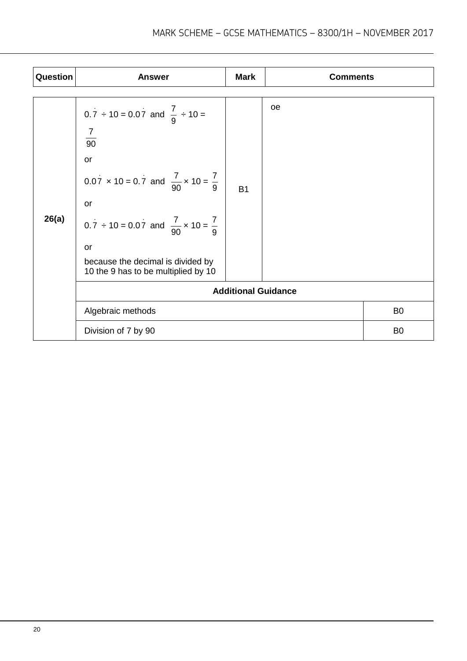| Question | <b>Answer</b>                                                            | <b>Mark</b> | <b>Comments</b> |                |
|----------|--------------------------------------------------------------------------|-------------|-----------------|----------------|
|          |                                                                          |             |                 |                |
| 26(a)    | $0.\overline{7} \div 10 = 0.07$ and $\frac{7}{9} \div 10 =$              |             | oe              |                |
|          | $\frac{7}{90}$                                                           |             |                 |                |
|          | or                                                                       |             |                 |                |
|          | $0.07 \times 10 = 0.7$ and $\frac{7}{90} \times 10 = \frac{7}{9}$        | <b>B1</b>   |                 |                |
|          | or                                                                       |             |                 |                |
|          | $0.7 \div 10 = 0.07$ and $\frac{7}{90} \times 10 = \frac{7}{9}$          |             |                 |                |
|          | or                                                                       |             |                 |                |
|          | because the decimal is divided by<br>10 the 9 has to be multiplied by 10 |             |                 |                |
|          | <b>Additional Guidance</b>                                               |             |                 |                |
|          | Algebraic methods                                                        |             |                 | B <sub>0</sub> |
|          | Division of 7 by 90                                                      |             |                 | B <sub>0</sub> |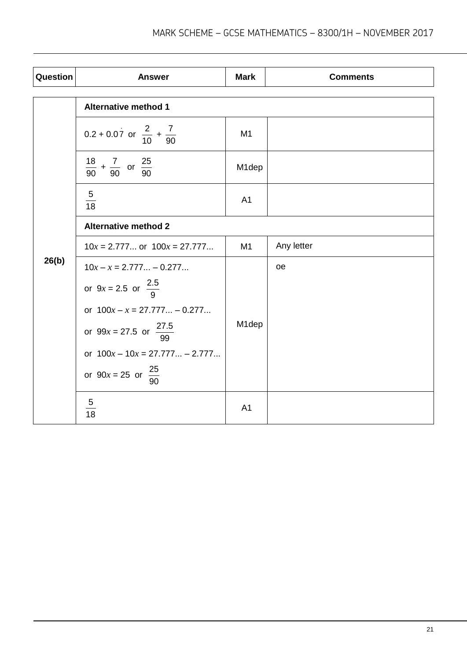| Question | <b>Answer</b>                                     | <b>Mark</b>        | <b>Comments</b> |  |
|----------|---------------------------------------------------|--------------------|-----------------|--|
|          | <b>Alternative method 1</b>                       |                    |                 |  |
| 26(b)    | $0.2 + 0.07$ or $\frac{2}{10} + \frac{7}{90}$     | M <sub>1</sub>     |                 |  |
|          | $\frac{18}{90} + \frac{7}{90}$ or $\frac{25}{90}$ | M <sub>1</sub> dep |                 |  |
|          | $\frac{5}{18}$                                    | A1                 |                 |  |
|          | <b>Alternative method 2</b>                       |                    |                 |  |
|          | $10x = 2.777$ or $100x = 27.777$                  | M1                 | Any letter      |  |
|          | $10x - x = 2.777 - 0.277$                         |                    | oe              |  |
|          | or $9x = 2.5$ or $\frac{2.5}{9}$                  |                    |                 |  |
|          | or $100x - x = 27.777 - 0.277$                    |                    |                 |  |
|          | or $99x = 27.5$ or $\frac{27.5}{99}$              | M1dep              |                 |  |
|          | or $100x - 10x = 27.777 - 2.777$                  |                    |                 |  |
|          | or $90x = 25$ or $\frac{25}{90}$                  |                    |                 |  |
|          | $\overline{5}$<br>18                              | A <sub>1</sub>     |                 |  |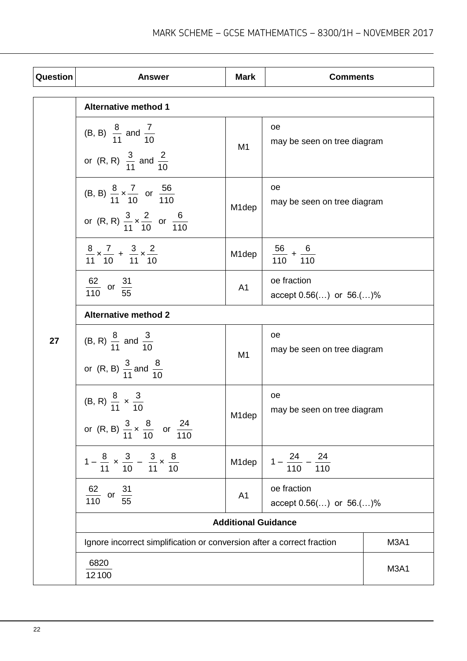| Question | <b>Answer</b>                                                                                                                    | <b>Mark</b>                | <b>Comments</b>                              |                               |
|----------|----------------------------------------------------------------------------------------------------------------------------------|----------------------------|----------------------------------------------|-------------------------------|
|          | <b>Alternative method 1</b>                                                                                                      |                            |                                              |                               |
|          | (B, B) $\frac{8}{11}$ and $\frac{7}{10}$<br>or (R, R) $\frac{3}{11}$ and $\frac{2}{10}$                                          | M1                         | oe<br>may be seen on tree diagram            |                               |
|          | (B, B) $\frac{8}{11} \times \frac{7}{10}$ or $\frac{56}{110}$<br>or (R, R) $\frac{3}{11} \times \frac{2}{10}$ or $\frac{6}{110}$ | M1dep                      | oe<br>may be seen on tree diagram            |                               |
|          | $\frac{8}{11} \times \frac{7}{10} + \frac{3}{11} \times \frac{2}{10}$                                                            | M1dep                      | $\frac{56}{110} + \frac{6}{110}$             |                               |
|          | $\frac{62}{110}$ or $\frac{31}{55}$                                                                                              | A <sub>1</sub>             | oe fraction<br>accept $0.56$ () or $56$ .()% |                               |
|          | <b>Alternative method 2</b>                                                                                                      |                            |                                              |                               |
| 27       | (B, R) $\frac{8}{11}$ and $\frac{3}{10}$<br>or (R, B) $\frac{3}{11}$ and $\frac{8}{10}$                                          | M1                         | oe<br>may be seen on tree diagram            |                               |
|          | (B, R) $\frac{8}{11} \times \frac{3}{10}$<br>or (R, B) $\frac{3}{11} \times \frac{8}{10}$ or $\frac{24}{110}$                    | M1dep                      | 0e<br>may be seen on tree diagram            |                               |
|          | $1-\frac{8}{11} \times \frac{3}{10} - \frac{3}{11} \times \frac{8}{10}$                                                          | M1dep                      | $1-\frac{24}{110}-\frac{24}{110}$            |                               |
|          | $\frac{62}{110}$ or $\frac{31}{55}$                                                                                              | A <sub>1</sub>             | oe fraction<br>accept $0.56$ () or $56$ .()% |                               |
|          |                                                                                                                                  | <b>Additional Guidance</b> |                                              |                               |
|          | Ignore incorrect simplification or conversion after a correct fraction                                                           |                            |                                              | M <sub>3</sub> A <sub>1</sub> |
|          | 6820<br>12100                                                                                                                    |                            |                                              | M <sub>3</sub> A <sub>1</sub> |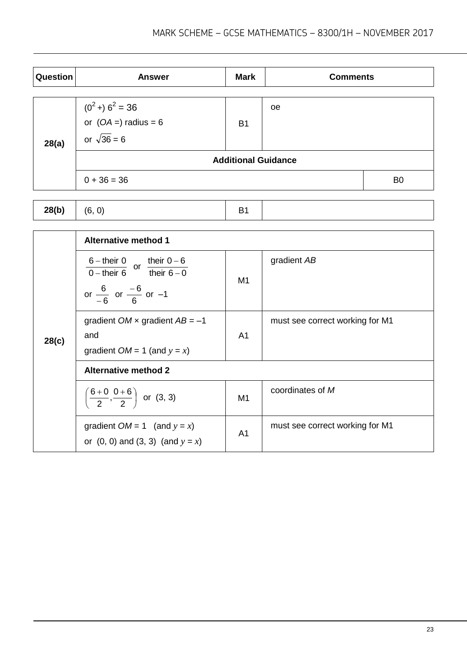| Question | <b>Answer</b>                                                       | <b>Mark</b> | <b>Comments</b> |                |
|----------|---------------------------------------------------------------------|-------------|-----------------|----------------|
| 28(a)    | $(0^2 + 6^2 = 36$<br>or $(OA = 6)$ radius = 6<br>or $\sqrt{36} = 6$ | <b>B1</b>   | <b>oe</b>       |                |
|          | <b>Additional Guidance</b>                                          |             |                 |                |
|          | $0 + 36 = 36$                                                       |             |                 | B <sub>0</sub> |

|  | 28(b) | (6, 0) |  |  |
|--|-------|--------|--|--|
|--|-------|--------|--|--|

|       | <b>Alternative method 1</b>                                                                                                                           |    |                                 |
|-------|-------------------------------------------------------------------------------------------------------------------------------------------------------|----|---------------------------------|
|       | $\frac{6 - \text{their } 0}{0 - \text{their } 6}$ or $\frac{\text{their } 0 - 6}{\text{their } 6 - 0}$<br>or $\frac{6}{-6}$ or $\frac{-6}{6}$ or $-1$ | M1 | gradient AB                     |
| 28(c) | gradient $OM \times$ gradient $AB = -1$<br>and<br>gradient $OM = 1$ (and $y = x$ )                                                                    | A1 | must see correct working for M1 |
|       | <b>Alternative method 2</b>                                                                                                                           |    |                                 |
|       | $\left(\frac{6+0}{2}, \frac{0+6}{2}\right)$ or (3, 3)                                                                                                 | M1 | coordinates of M                |
|       | gradient $OM = 1$ (and $y = x$ )<br>or $(0, 0)$ and $(3, 3)$ $($ and $y = x)$                                                                         | A1 | must see correct working for M1 |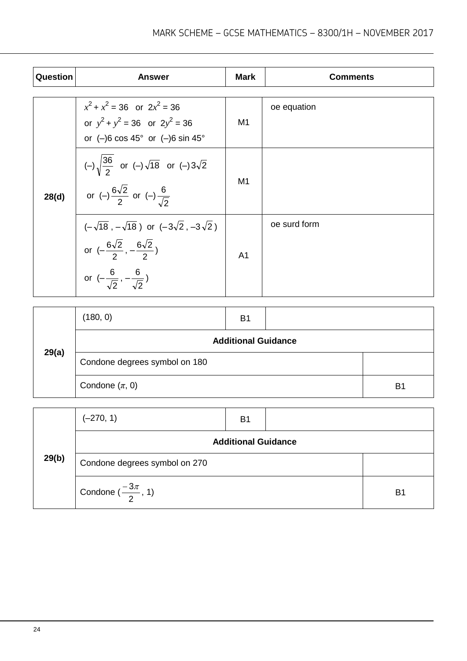| Question | <b>Answer</b>                                                                                                                                                                          | <b>Mark</b>    | <b>Comments</b> |
|----------|----------------------------------------------------------------------------------------------------------------------------------------------------------------------------------------|----------------|-----------------|
|          | $x^{2} + x^{2} = 36$ or $2x^{2} = 36$<br>or $y^2 + y^2 = 36$ or $2y^2 = 36$<br>or $(-)6 \cos 45^\circ$ or $(-)6 \sin 45^\circ$                                                         | M1             | oe equation     |
| 28(d)    | $(-)\sqrt{\frac{36}{2}}$ or $(-)\sqrt{18}$ or $(-)3\sqrt{2}$<br>or (-) $\frac{6\sqrt{2}}{2}$ or (-) $\frac{6}{\sqrt{2}}$                                                               | M <sub>1</sub> |                 |
|          | $(-\sqrt{18}, -\sqrt{18})$ or $(-3\sqrt{2}, -3\sqrt{2})$<br>or $\left(-\frac{6\sqrt{2}}{2}, -\frac{6\sqrt{2}}{2}\right)$<br>or $\left(-\frac{6}{\sqrt{2}}, -\frac{6}{\sqrt{2}}\right)$ | A <sub>1</sub> | oe surd form    |

| 29(a) | (180, 0)                      | B <sub>1</sub> |  |                |
|-------|-------------------------------|----------------|--|----------------|
|       | <b>Additional Guidance</b>    |                |  |                |
|       | Condone degrees symbol on 180 |                |  |                |
|       | Condone $(\pi, 0)$            |                |  | B <sub>1</sub> |

| 29(b) | $(-270, 1)$                               | B <sub>1</sub> |  |                |  |
|-------|-------------------------------------------|----------------|--|----------------|--|
|       | <b>Additional Guidance</b>                |                |  |                |  |
|       | Condone degrees symbol on 270             |                |  |                |  |
|       | Condone $\left(\frac{-3\pi}{2}, 1\right)$ |                |  | B <sub>1</sub> |  |